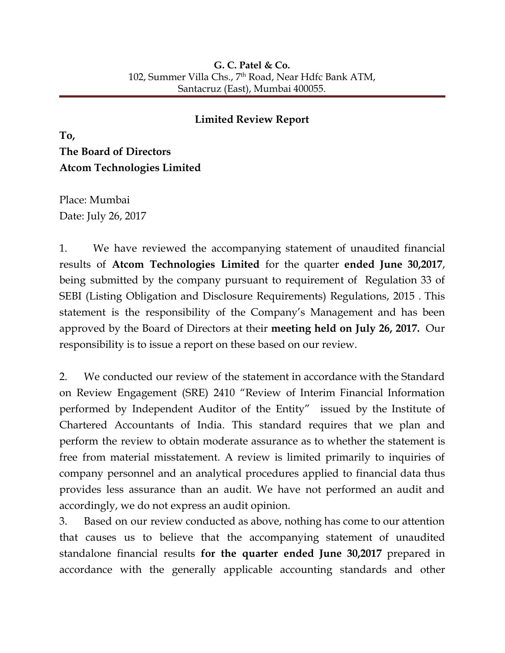## **Limited Review Report**

**To, The Board of Directors Atcom Technologies Limited**

Place: Mumbai Date: July 26, 2017

1. We have reviewed the accompanying statement of unaudited financial results of **Atcom Technologies Limited** for the quarter **ended June 30,2017**, being submitted by the company pursuant to requirement of Regulation 33 of SEBI (Listing Obligation and Disclosure Requirements) Regulations, 2015 . This statement is the responsibility of the Company's Management and has been approved by the Board of Directors at their **meeting held on July 26, 2017.** Our responsibility is to issue a report on these based on our review.

2. We conducted our review of the statement in accordance with the Standard on Review Engagement (SRE) 2410 "Review of Interim Financial Information performed by Independent Auditor of the Entity" issued by the Institute of Chartered Accountants of India. This standard requires that we plan and perform the review to obtain moderate assurance as to whether the statement is free from material misstatement. A review is limited primarily to inquiries of company personnel and an analytical procedures applied to financial data thus provides less assurance than an audit. We have not performed an audit and accordingly, we do not express an audit opinion.

3. Based on our review conducted as above, nothing has come to our attention that causes us to believe that the accompanying statement of unaudited standalone financial results **for the quarter ended June 30,2017** prepared in accordance with the generally applicable accounting standards and other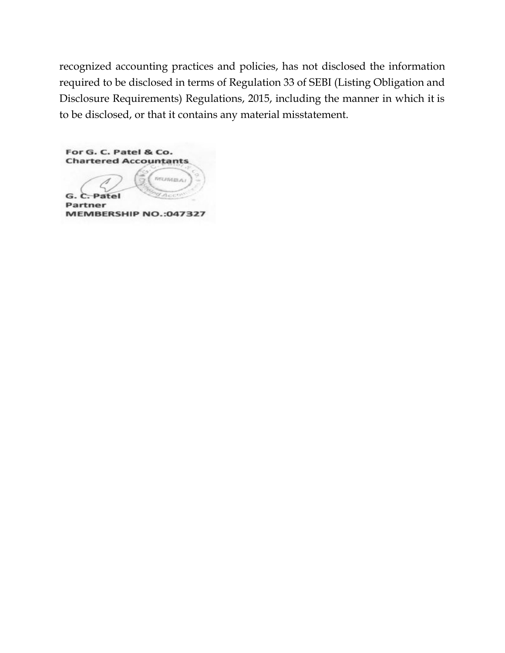recognized accounting practices and policies, has not disclosed the information required to be disclosed in terms of Regulation 33 of SEBI (Listing Obligation and Disclosure Requirements) Regulations, 2015, including the manner in which it is to be disclosed, or that it contains any material misstatement.

For G. C. Patel & Co. **Chartered Accountants MUMBA** G. C. Patel Partner MEMBERSHIP NO.:047327